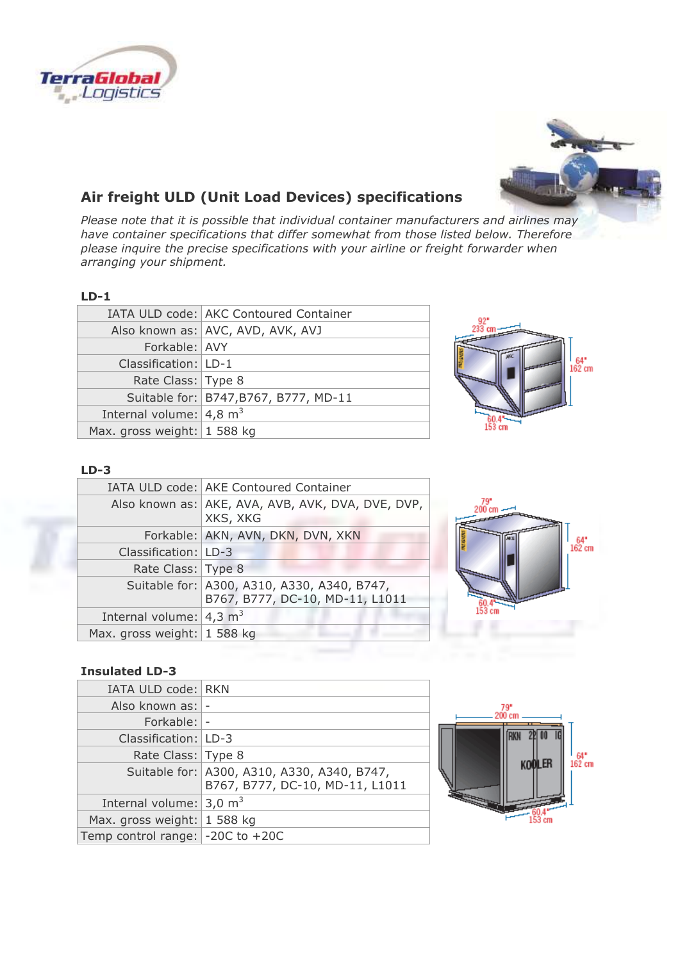



# **Air freight ULD (Unit Load Devices) specifications**

*Please note that it is possible that individual container manufacturers and airlines may have container specifications that differ somewhat from those listed below. Therefore please inquire the precise specifications with your airline or freight forwarder when arranging your shipment.*

#### **LD-1**

|                                    | IATA ULD code: AKC Contoured Container |
|------------------------------------|----------------------------------------|
|                                    | Also known as: AVC, AVD, AVK, AVJ      |
| Forkable: AVY                      |                                        |
| Classification: LD-1               |                                        |
| Rate Class: Type 8                 |                                        |
|                                    | Suitable for: B747, B767, B777, MD-11  |
| Internal volume: $4,8 \text{ m}^3$ |                                        |
| Max. gross weight: 1 588 kg        |                                        |
|                                    |                                        |



#### **LD-3**

|                                       | IATA ULD code: AKE Contoured Container                                         |
|---------------------------------------|--------------------------------------------------------------------------------|
|                                       | Also known as: AKE, AVA, AVB, AVK, DVA, DVE, DVP,<br>XKS, XKG                  |
|                                       | Forkable: AKN, AVN, DKN, DVN, XKN                                              |
| Classification: LD-3                  |                                                                                |
| Rate Class: Type 8                    |                                                                                |
|                                       | Suitable for: A300, A310, A330, A340, B747,<br>B767, B777, DC-10, MD-11, L1011 |
| Internal volume: $4,3$ m <sup>3</sup> |                                                                                |
| Max. gross weight: 1 588 kg           |                                                                                |



### **Insulated LD-3**

| IATA ULD code: RKN                       |                                                                                |
|------------------------------------------|--------------------------------------------------------------------------------|
| Also known as:  -                        |                                                                                |
| Forkable:  -                             |                                                                                |
| Classification:   LD-3                   |                                                                                |
| Rate Class: Type 8                       |                                                                                |
|                                          | Suitable for: A300, A310, A330, A340, B747,<br>B767, B777, DC-10, MD-11, L1011 |
| Internal volume: $3,0 \text{ m}^3$       |                                                                                |
| Max. gross weight: $1588$ kg             |                                                                                |
| Temp control range: $\vert$ -20C to +20C |                                                                                |
|                                          |                                                                                |

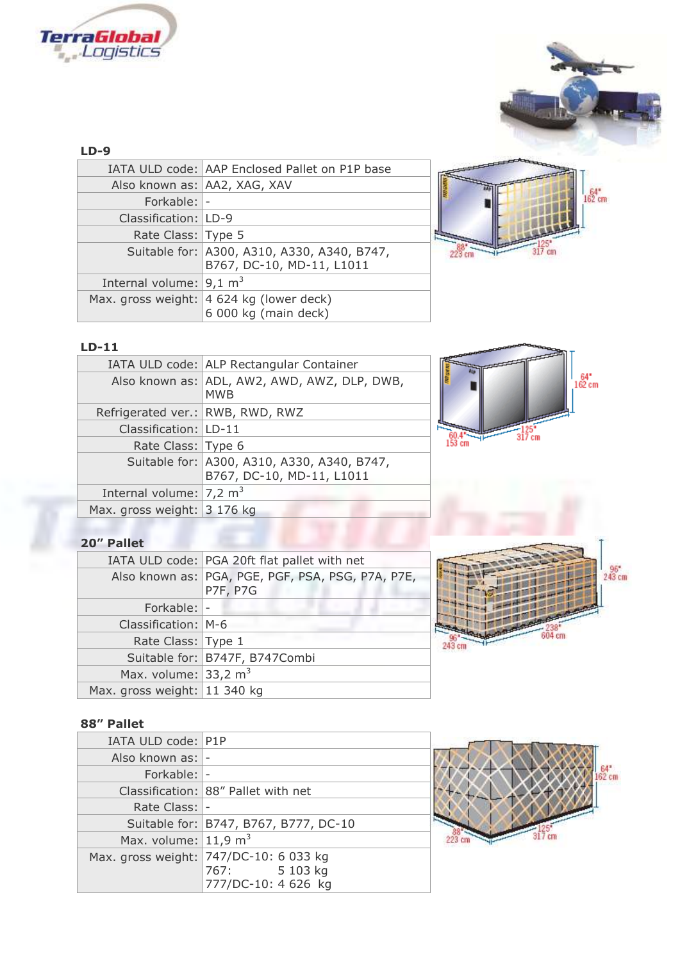



 $162 \text{ cm}$ 

#### **LD-9**

|                                    | IATA ULD code: AAP Enclosed Pallet on P1P base                           |
|------------------------------------|--------------------------------------------------------------------------|
| Also known as: AA2, XAG, XAV       |                                                                          |
| Forkable: -                        |                                                                          |
| Classification:   LD-9             |                                                                          |
| Rate Class: Type 5                 |                                                                          |
|                                    | Suitable for: A300, A310, A330, A340, B747,<br>B767, DC-10, MD-11, L1011 |
| Internal volume: $9,1 \text{ m}^3$ |                                                                          |
|                                    | Max. gross weight:   4 624 kg (lower deck)<br>6 000 kg (main deck)       |
|                                    |                                                                          |



### **LD-11**

|                                     | IATA ULD code: ALP Rectangular Container                                 |  |
|-------------------------------------|--------------------------------------------------------------------------|--|
|                                     | Also known as: ADL, AW2, AWD, AWZ, DLP, DWB,<br><b>MWB</b>               |  |
| Refrigerated ver.: RWB, RWD, RWZ    |                                                                          |  |
| Classification: LD-11               |                                                                          |  |
| Rate Class: Type 6                  |                                                                          |  |
|                                     | Suitable for: A300, A310, A330, A340, B747,<br>B767, DC-10, MD-11, L1011 |  |
| Internal volume: $ 7,2 \text{ m}^3$ |                                                                          |  |
| Max. gross weight: 3 176 kg         |                                                                          |  |

### **20" Pallet**

|                                 | IATA ULD code: PGA 20ft flat pallet with net                         |
|---------------------------------|----------------------------------------------------------------------|
|                                 | Also known as: PGA, PGE, PGF, PSA, PSG, P7A, P7E,<br><b>P7F, P7G</b> |
| Forkable:  -                    |                                                                      |
| Classification: M-6             |                                                                      |
| Rate Class: Type 1              |                                                                      |
|                                 | Suitable for: B747F, B747Combi                                       |
| Max. volume: $33,2 \text{ m}^3$ |                                                                      |
| Max. gross weight: 11 340 kg    |                                                                      |



# **88" Pallet**

| IATA ULD code: P1P                 |                                                                                |
|------------------------------------|--------------------------------------------------------------------------------|
| Also known as:  -                  |                                                                                |
| Forkable:  -                       |                                                                                |
|                                    | Classification: 88" Pallet with net                                            |
| Rate Class:  -                     |                                                                                |
|                                    | Suitable for:   B747, B767, B777, DC-10                                        |
| Max. volume: $11,9$ m <sup>3</sup> |                                                                                |
|                                    | Max. gross weight: 747/DC-10: 6 033 kg<br>767: 5 103 kg<br>777/DC-10: 4 626 kg |

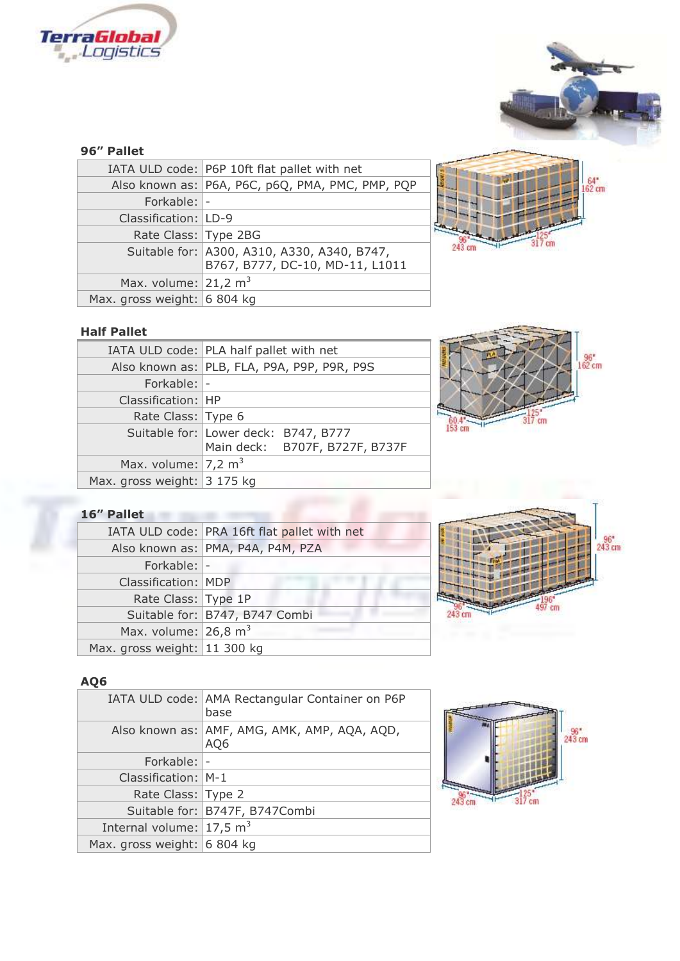



# **96" Pallet**

|                                 | IATA ULD code: P6P 10ft flat pallet with net                                   |
|---------------------------------|--------------------------------------------------------------------------------|
|                                 | Also known as: P6A, P6C, p6Q, PMA, PMC, PMP, PQP                               |
| Forkable:  -                    |                                                                                |
| Classification:   LD-9          |                                                                                |
| Rate Class: Type 2BG            |                                                                                |
|                                 | Suitable for: A300, A310, A330, A340, B747,<br>B767, B777, DC-10, MD-11, L1011 |
| Max. volume: $21,2 \text{ m}^3$ |                                                                                |
| Max. gross weight: 6 804 kg     |                                                                                |



## **Half Pallet**

|                                | IATA ULD code: PLA half pallet with net     |
|--------------------------------|---------------------------------------------|
|                                | Also known as: PLB, FLA, P9A, P9P, P9R, P9S |
| Forkable: -                    |                                             |
| Classification:   HP           |                                             |
| Rate Class: Type 6             |                                             |
|                                | Suitable for: Lower deck: B747, B777        |
|                                | Main deck: B707F, B727F, B737F              |
| Max. volume: $7,2 \text{ m}^3$ |                                             |
| Max. gross weight: 3 175 kg    |                                             |



### **16" Pallet**

|                                 | IATA ULD code: PRA 16ft flat pallet with net |
|---------------------------------|----------------------------------------------|
|                                 | Also known as: PMA, P4A, P4M, PZA            |
| Forkable: -                     |                                              |
| Classification: MDP             |                                              |
| Rate Class: Type 1P             |                                              |
|                                 | Suitable for: B747, B747 Combi               |
| Max. volume: $26,8 \text{ m}^3$ |                                              |
| Max. gross weight: 11 300 kg    |                                              |
|                                 |                                              |



### **AQ6**

|                                        | IATA ULD code: AMA Rectangular Container on P6P<br>base |
|----------------------------------------|---------------------------------------------------------|
|                                        | Also known as: AMF, AMG, AMK, AMP, AQA, AQD,<br>AQ6     |
| Forkable:  -                           |                                                         |
| Classification: M-1                    |                                                         |
| Rate Class: Type 2                     |                                                         |
|                                        | Suitable for: B747F, B747Combi                          |
| Internal volume: $17,5$ m <sup>3</sup> |                                                         |
| Max. gross weight: 6 804 kg            |                                                         |
|                                        |                                                         |